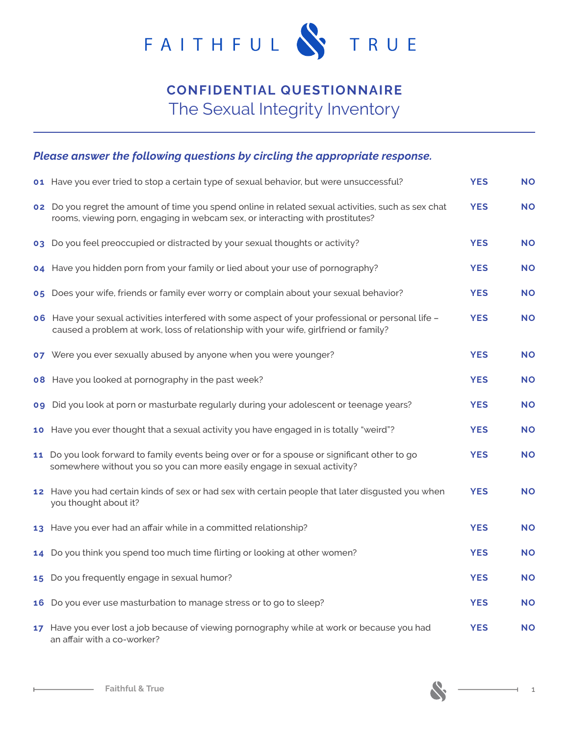

## **CONFIDENTIAL QUESTIONNAIRE** The Sexual Integrity Inventory

## *Please answer the following questions by circling the appropriate response.*

| 01 Have you ever tried to stop a certain type of sexual behavior, but were unsuccessful?                                                                                                   | <b>YES</b> | <b>NO</b> |
|--------------------------------------------------------------------------------------------------------------------------------------------------------------------------------------------|------------|-----------|
| o2 Do you regret the amount of time you spend online in related sexual activities, such as sex chat<br>rooms, viewing porn, engaging in webcam sex, or interacting with prostitutes?       | <b>YES</b> | <b>NO</b> |
| o3 Do you feel preoccupied or distracted by your sexual thoughts or activity?                                                                                                              | <b>YES</b> | <b>NO</b> |
| 04 Have you hidden porn from your family or lied about your use of pornography?                                                                                                            | <b>YES</b> | <b>NO</b> |
| 05 Does your wife, friends or family ever worry or complain about your sexual behavior?                                                                                                    | <b>YES</b> | <b>NO</b> |
| o6 Have your sexual activities interfered with some aspect of your professional or personal life -<br>caused a problem at work, loss of relationship with your wife, girlfriend or family? | <b>YES</b> | <b>NO</b> |
| 07 Were you ever sexually abused by anyone when you were younger?                                                                                                                          | <b>YES</b> | <b>NO</b> |
| <b>08</b> Have you looked at pornography in the past week?                                                                                                                                 | <b>YES</b> | <b>NO</b> |
| og Did you look at porn or masturbate regularly during your adolescent or teenage years?                                                                                                   | <b>YES</b> | <b>NO</b> |
| 10 Have you ever thought that a sexual activity you have engaged in is totally "weird"?                                                                                                    | <b>YES</b> | <b>NO</b> |
| 11 Do you look forward to family events being over or for a spouse or significant other to go<br>somewhere without you so you can more easily engage in sexual activity?                   | <b>YES</b> | <b>NO</b> |
| 12 Have you had certain kinds of sex or had sex with certain people that later disgusted you when<br>you thought about it?                                                                 | <b>YES</b> | <b>NO</b> |
| 13 Have you ever had an affair while in a committed relationship?                                                                                                                          | <b>YES</b> | <b>NO</b> |
| 14 Do you think you spend too much time flirting or looking at other women?                                                                                                                | <b>YES</b> | <b>NO</b> |
| 15 Do you frequently engage in sexual humor?                                                                                                                                               | <b>YES</b> | <b>NO</b> |
| 16 Do you ever use masturbation to manage stress or to go to sleep?                                                                                                                        | <b>YES</b> | <b>NO</b> |
| 17 Have you ever lost a job because of viewing pornography while at work or because you had<br>an affair with a co-worker?                                                                 | <b>YES</b> | <b>NO</b> |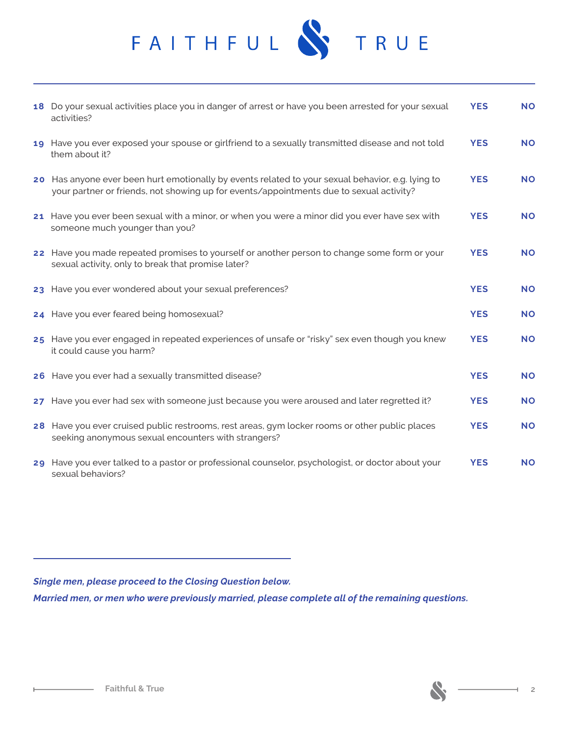

| 18 Do your sexual activities place you in danger of arrest or have you been arrested for your sexual<br>activities?                                                                          | <b>YES</b> | <b>NO</b> |
|----------------------------------------------------------------------------------------------------------------------------------------------------------------------------------------------|------------|-----------|
| 19 Have you ever exposed your spouse or girlfriend to a sexually transmitted disease and not told<br>them about it?                                                                          | <b>YES</b> | <b>NO</b> |
| 20 Has anyone ever been hurt emotionally by events related to your sexual behavior, e.g. lying to<br>your partner or friends, not showing up for events/appointments due to sexual activity? | <b>YES</b> | <b>NO</b> |
| 21 Have you ever been sexual with a minor, or when you were a minor did you ever have sex with<br>someone much younger than you?                                                             | <b>YES</b> | <b>NO</b> |
| 22 Have you made repeated promises to yourself or another person to change some form or your<br>sexual activity, only to break that promise later?                                           | <b>YES</b> | <b>NO</b> |
| 23 Have you ever wondered about your sexual preferences?                                                                                                                                     | <b>YES</b> | <b>NO</b> |
| 24 Have you ever feared being homosexual?                                                                                                                                                    | <b>YES</b> | <b>NO</b> |
| 25 Have you ever engaged in repeated experiences of unsafe or "risky" sex even though you knew<br>it could cause you harm?                                                                   | <b>YES</b> | <b>NO</b> |
| 26 Have you ever had a sexually transmitted disease?                                                                                                                                         | <b>YES</b> | <b>NO</b> |
| 27 Have you ever had sex with someone just because you were aroused and later regretted it?                                                                                                  | <b>YES</b> | <b>NO</b> |
| 28 Have you ever cruised public restrooms, rest areas, gym locker rooms or other public places<br>seeking anonymous sexual encounters with strangers?                                        | <b>YES</b> | <b>NO</b> |
| 29 Have you ever talked to a pastor or professional counselor, psychologist, or doctor about your<br>sexual behaviors?                                                                       | <b>YES</b> | <b>NO</b> |

*Single men, please proceed to the Closing Question below.*

*Married men, or men who were previously married, please complete all of the remaining questions.*